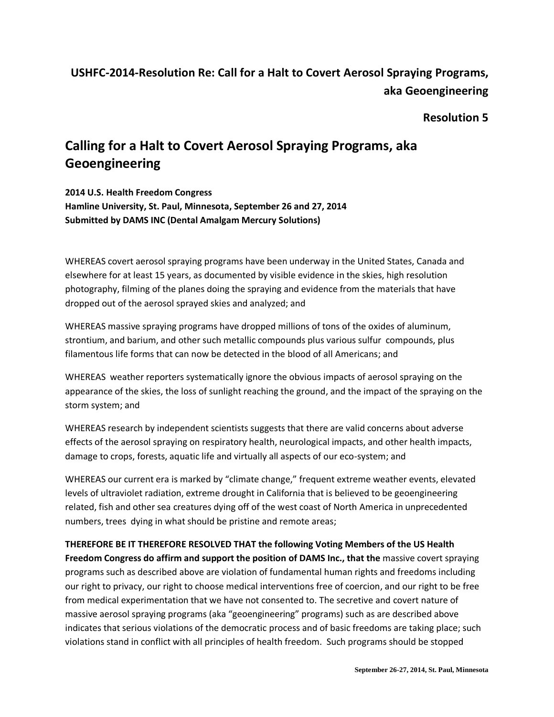# **USHFC-2014-Resolution Re: Call for a Halt to Covert Aerosol Spraying Programs, aka Geoengineering**

### **Resolution 5**

# **Calling for a Halt to Covert Aerosol Spraying Programs, aka Geoengineering**

**2014 U.S. Health Freedom Congress Hamline University, St. Paul, Minnesota, September 26 and 27, 2014 Submitted by DAMS INC (Dental Amalgam Mercury Solutions)**

WHEREAS covert aerosol spraying programs have been underway in the United States, Canada and elsewhere for at least 15 years, as documented by visible evidence in the skies, high resolution photography, filming of the planes doing the spraying and evidence from the materials that have dropped out of the aerosol sprayed skies and analyzed; and

WHEREAS massive spraying programs have dropped millions of tons of the oxides of aluminum, strontium, and barium, and other such metallic compounds plus various sulfur compounds, plus filamentous life forms that can now be detected in the blood of all Americans; and

WHEREAS weather reporters systematically ignore the obvious impacts of aerosol spraying on the appearance of the skies, the loss of sunlight reaching the ground, and the impact of the spraying on the storm system; and

WHEREAS research by independent scientists suggests that there are valid concerns about adverse effects of the aerosol spraying on respiratory health, neurological impacts, and other health impacts, damage to crops, forests, aquatic life and virtually all aspects of our eco-system; and

WHEREAS our current era is marked by "climate change," frequent extreme weather events, elevated levels of ultraviolet radiation, extreme drought in California that is believed to be geoengineering related, fish and other sea creatures dying off of the west coast of North America in unprecedented numbers, trees dying in what should be pristine and remote areas;

#### **THEREFORE BE IT THEREFORE RESOLVED THAT the following Voting Members of the US Health**

**Freedom Congress do affirm and support the position of DAMS Inc., that the** massive covert spraying programs such as described above are violation of fundamental human rights and freedoms including our right to privacy, our right to choose medical interventions free of coercion, and our right to be free from medical experimentation that we have not consented to. The secretive and covert nature of massive aerosol spraying programs (aka "geoengineering" programs) such as are described above indicates that serious violations of the democratic process and of basic freedoms are taking place; such violations stand in conflict with all principles of health freedom. Such programs should be stopped